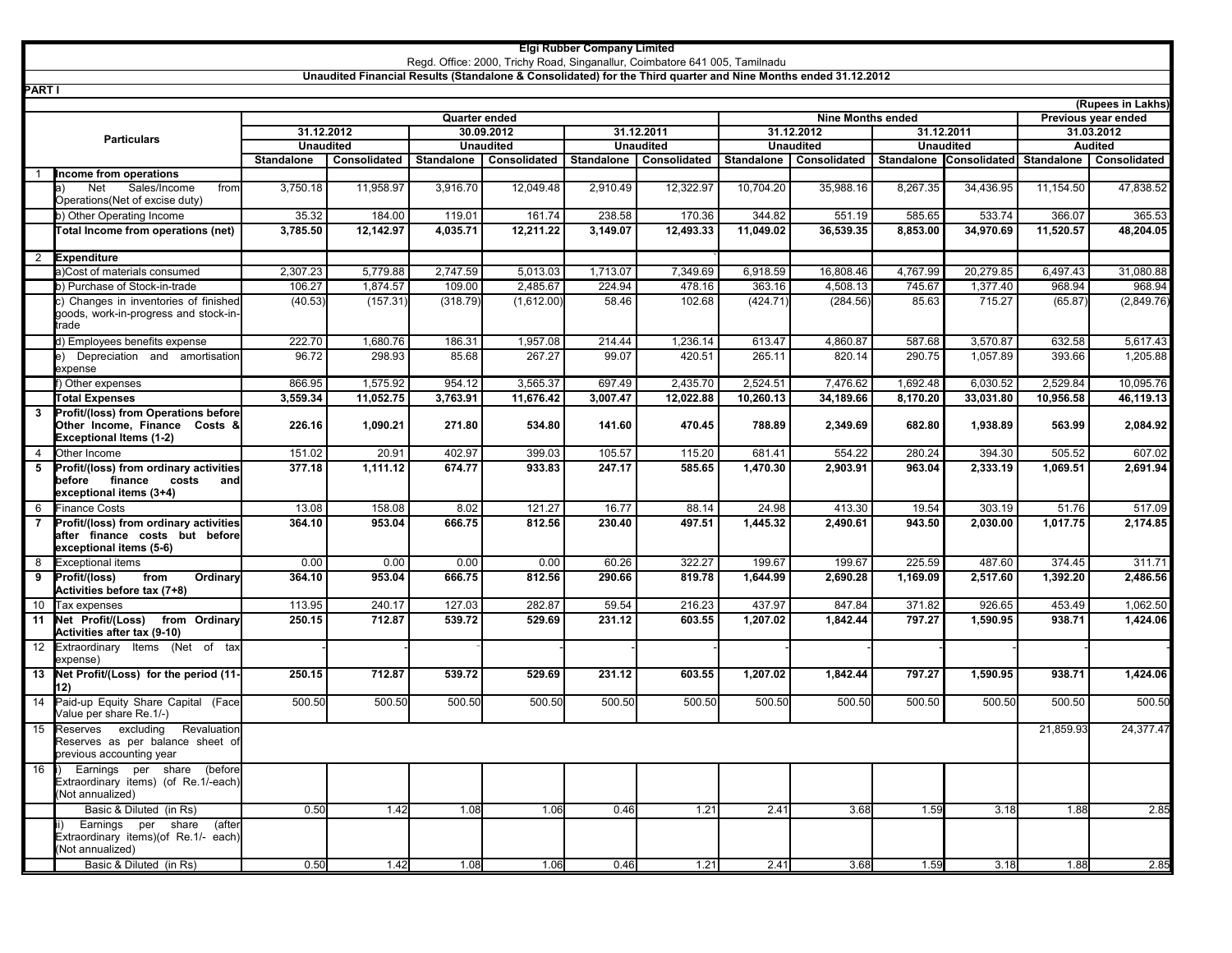## **Elgi Rubber Company Limited**

Regd. Office: 2000, Trichy Road, Singanallur, Coimbatore 641 005, Tamilnadu

## **Unaudited Financial Results (Standalone & Consolidated) for the Third quarter and Nine Months ended 31.12.2012**

| (Rupees in Lakhs)  |                                                                                                         |                   |              |                  |              |                  |              |                  |              |                     |                                    |                |              |
|--------------------|---------------------------------------------------------------------------------------------------------|-------------------|--------------|------------------|--------------|------------------|--------------|------------------|--------------|---------------------|------------------------------------|----------------|--------------|
|                    | <b>Nine Months ended</b><br>Quarter ended                                                               |                   |              |                  |              |                  |              |                  |              | Previous year ended |                                    |                |              |
| <b>Particulars</b> |                                                                                                         | 31.12.2012        |              | 30.09.2012       |              | 31.12.2011       |              | 31.12.2012       |              | 31.12.2011          |                                    | 31.03.2012     |              |
|                    |                                                                                                         | <b>Unaudited</b>  |              | <b>Unaudited</b> |              | <b>Unaudited</b> |              | <b>Unaudited</b> |              | <b>Unaudited</b>    |                                    | <b>Audited</b> |              |
|                    |                                                                                                         | <b>Standalone</b> | Consolidated | Standalone       | Consolidated | Standalone       | Consolidated | Standalone       | Consolidated |                     | Standalone Consolidated Standalone |                | Consolidated |
| $\overline{1}$     | Income from operations                                                                                  |                   |              |                  |              |                  |              |                  |              |                     |                                    |                |              |
|                    | Net<br>Sales/Income<br>from<br>Operations(Net of excise duty)                                           | 3,750.18          | 11,958.97    | 3,916.70         | 12,049.48    | 2,910.49         | 12,322.97    | 10,704.20        | 35,988.16    | 8,267.35            | 34,436.95                          | 11,154.50      | 47,838.52    |
|                    | b) Other Operating Income                                                                               | 35.32             | 184.00       | 119.01           | 161.74       | 238.58           | 170.36       | 344.82           | 551.19       | 585.65              | 533.74                             | 366.07         | 365.53       |
|                    | Total Income from operations (net)                                                                      | 3,785.50          | 12,142.97    | 4,035.71         | 12,211.22    | 3,149.07         | 12,493.33    | 11.049.02        | 36,539.35    | 8,853.00            | 34,970.69                          | 11,520.57      | 48,204.05    |
| $\overline{2}$     | Expenditure                                                                                             |                   |              |                  |              |                  |              |                  |              |                     |                                    |                |              |
|                    | a)Cost of materials consumed                                                                            | 2.307.23          | 5.779.88     | 2,747.59         | 5.013.03     | 1,713.07         | 7.349.69     | 6.918.59         | 16,808.46    | 4,767.99            | 20,279.85                          | 6,497.43       | 31.080.88    |
|                    | b) Purchase of Stock-in-trade                                                                           | 106.27            | 1,874.57     | 109.00           | 2,485.67     | 224.94           | 478.16       | 363.16           | 4,508.13     | 745.67              | 1,377.40                           | 968.94         | 968.94       |
|                    | c) Changes in inventories of finished<br>goods, work-in-progress and stock-in-<br>trade                 | (40.53)           | (157.31)     | (318.79)         | (1,612.00)   | 58.46            | 102.68       | (424.71)         | (284.56)     | 85.63               | 715.27                             | (65.87)        | (2,849.76)   |
|                    | d) Employees benefits expense                                                                           | 222.70            | 1,680.76     | 186.31           | 1,957.08     | 214.44           | 1,236.14     | 613.47           | 4,860.87     | 587.68              | 3,570.87                           | 632.58         | 5,617.43     |
|                    | e) Depreciation and amortisation<br>expense                                                             | 96.72             | 298.93       | 85.68            | 267.27       | 99.07            | 420.51       | 265.11           | 820.14       | 290.75              | 1,057.89                           | 393.66         | 1,205.88     |
|                    | f) Other expenses                                                                                       | 866.95            | 1.575.92     | 954.12           | 3.565.37     | 697.49           | 2.435.70     | 2.524.51         | 7.476.62     | 1.692.48            | 6.030.52                           | 2.529.84       | 10,095.76    |
|                    | <b>Total Expenses</b>                                                                                   | 3,559.34          | 11,052.75    | 3,763.91         | 11,676.42    | 3,007.47         | 12,022.88    | 10,260.13        | 34,189.66    | 8,170.20            | 33,031.80                          | 10,956.58      | 46,119.13    |
| 3                  | Profit/(loss) from Operations before<br>Other Income, Finance Costs &<br><b>Exceptional Items (1-2)</b> | 226.16            | 1,090.21     | 271.80           | 534.80       | 141.60           | 470.45       | 788.89           | 2,349.69     | 682.80              | 1,938.89                           | 563.99         | 2,084.92     |
| $\overline{4}$     | Other Income                                                                                            | 151.02            | 20.91        | 402.97           | 399.03       | 105.57           | 115.20       | 681.41           | 554.22       | 280.24              | 394.30                             | 505.52         | 607.02       |
| 5                  | Profit/(loss) from ordinary activities<br>before finance<br>costs<br>and<br>exceptional items (3+4)     | 377.18            | 1,111.12     | 674.77           | 933.83       | 247.17           | 585.65       | 1,470.30         | 2,903.91     | 963.04              | 2,333.19                           | 1,069.51       | 2,691.94     |
| 6                  | Finance Costs                                                                                           | 13.08             | 158.08       | 8.02             | 121.27       | 16.77            | 88.14        | 24.98            | 413.30       | 19.54               | 303.19                             | 51.76          | 517.09       |
| $\overline{7}$     | Profit/(loss) from ordinary activities<br>after finance costs but before<br>exceptional items (5-6)     | 364.10            | 953.04       | 666.75           | 812.56       | 230.40           | 497.51       | 1.445.32         | 2,490.61     | 943.50              | 2.030.00                           | 1,017.75       | 2,174.85     |
| 8                  | <b>Exceptional items</b>                                                                                | 0.00              | 0.00         | 0.00             | 0.00         | 60.26            | 322.27       | 199.67           | 199.67       | 225.59              | 487.60                             | 374.45         | 311.71       |
| 9                  | Profit/(loss)<br>from<br>Ordinary<br>Activities before tax (7+8)                                        | 364.10            | 953.04       | 666.75           | 812.56       | 290.66           | 819.78       | 1,644.99         | 2,690.28     | 1,169.09            | 2,517.60                           | 1,392.20       | 2,486.56     |
| 10                 | Tax expenses                                                                                            | 113.95            | 240.17       | 127.03           | 282.87       | 59.54            | 216.23       | 437.97           | 847.84       | 371.82              | 926.65                             | 453.49         | 1,062.50     |
| 11                 | Net Profit/(Loss) from Ordinary<br>Activities after tax (9-10)                                          | 250.15            | 712.87       | 539.72           | 529.69       | 231.12           | 603.55       | 1,207.02         | 1,842.44     | 797.27              | 1,590.95                           | 938.71         | 1,424.06     |
| 12                 | Extraordinary Items (Net of<br>tax<br>expense)                                                          |                   |              |                  |              |                  |              |                  |              |                     |                                    |                |              |
| 13                 | Net Profit/(Loss) for the period (11-<br>12)                                                            | 250.15            | 712.87       | 539.72           | 529.69       | 231.12           | 603.55       | 1,207.02         | 1,842.44     | 797.27              | 1,590.95                           | 938.71         | 1,424.06     |
| 14                 | Paid-up Equity Share Capital (Face<br>Value per share Re.1/-)                                           | 500.50            | 500.50       | 500.50           | 500.50       | 500.50           | 500.50       | 500.50           | 500.50       | 500.50              | 500.50                             | 500.50         | 500.50       |
| 15                 | Reserves excluding<br>Revaluation<br>Reserves as per balance sheet of<br>previous accounting year       |                   |              |                  |              |                  |              |                  |              |                     |                                    | 21,859.93      | 24,377.47    |
| 16                 | Earnings per share (before<br>Extraordinary items) (of Re.1/-each)<br>(Not annualized)                  |                   |              |                  |              |                  |              |                  |              |                     |                                    |                |              |
|                    | Basic & Diluted (in Rs)                                                                                 | 0.50              | 1.42         | 1.08             | 1.06         | 0.46             | 1.21         | 2.41             | 3.68         | 1.59                | 3.18                               | 1.88           | 2.85         |
|                    | Earnings<br>per<br>share<br>(after<br>Extraordinary items)(of Re.1/- each)<br>(Not annualized)          |                   |              |                  |              |                  |              |                  |              |                     |                                    |                |              |
|                    | Basic & Diluted (in Rs)                                                                                 | 0.50              | 1.42         | 1.08             | 1.06         | 0.46             | 1.21         | 2.41             | 3.68         | 1.59                | 3.18                               | 1.88           | 2.85         |

**PART I**